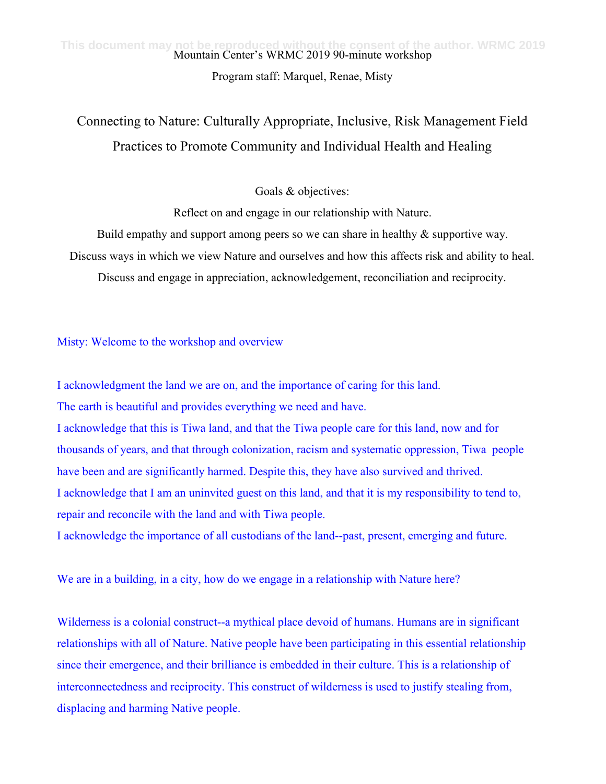Program staff: Marquel, Renae, Misty

## Connecting to Nature: Culturally Appropriate, Inclusive, Risk Management Field Practices to Promote Community and Individual Health and Healing

Goals & objectives:

Reflect on and engage in our relationship with Nature.

Build empathy and support among peers so we can share in healthy  $\&$  supportive way.

Discuss ways in which we view Nature and ourselves and how this affects risk and ability to heal.

Discuss and engage in appreciation, acknowledgement, reconciliation and reciprocity.

Misty: Welcome to the workshop and overview

I acknowledgment the land we are on, and the importance of caring for this land. The earth is beautiful and provides everything we need and have. I acknowledge that this is Tiwa land, and that the Tiwa people care for this land, now and for thousands of years, and that through colonization, racism and systematic oppression, Tiwa people have been and are significantly harmed. Despite this, they have also survived and thrived. I acknowledge that I am an uninvited guest on this land, and that it is my responsibility to tend to, repair and reconcile with the land and with Tiwa people. I acknowledge the importance of all custodians of the land--past, present, emerging and future.

We are in a building, in a city, how do we engage in a relationship with Nature here?

Wilderness is a colonial construct--a mythical place devoid of humans. Humans are in significant relationships with all of Nature. Native people have been participating in this essential relationship since their emergence, and their brilliance is embedded in their culture. This is a relationship of interconnectedness and reciprocity. This construct of wilderness is used to justify stealing from, displacing and harming Native people.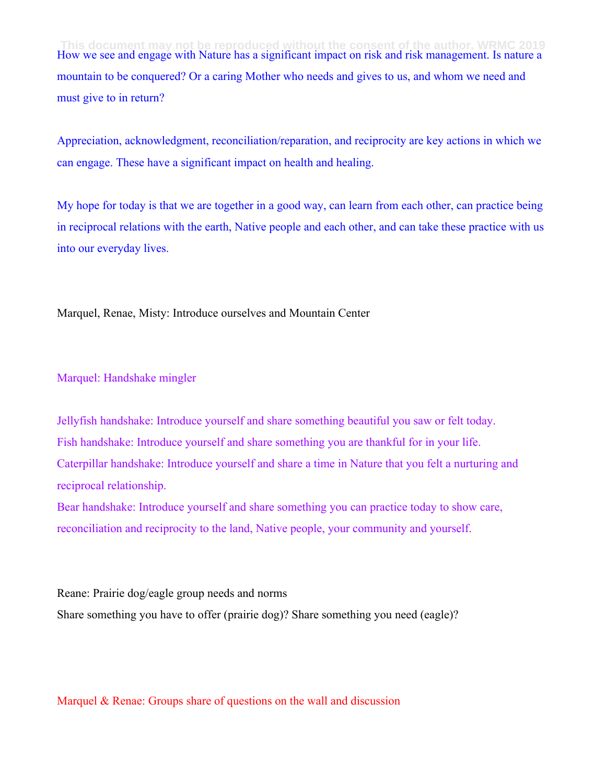How we see and engage with Nature has a significant impact on risk and risk management. Is nature a mountain to be conquered? Or a caring Mother who needs and gives to us, and whom we need and must give to in return? **This document may not be reproduced without the consent of the author. WRMC 2019**

Appreciation, acknowledgment, reconciliation/reparation, and reciprocity are key actions in which we can engage. These have a significant impact on health and healing.

My hope for today is that we are together in a good way, can learn from each other, can practice being in reciprocal relations with the earth, Native people and each other, and can take these practice with us into our everyday lives.

Marquel, Renae, Misty: Introduce ourselves and Mountain Center

Marquel: Handshake mingler

Jellyfish handshake: Introduce yourself and share something beautiful you saw or felt today. Fish handshake: Introduce yourself and share something you are thankful for in your life. Caterpillar handshake: Introduce yourself and share a time in Nature that you felt a nurturing and reciprocal relationship.

Bear handshake: Introduce yourself and share something you can practice today to show care, reconciliation and reciprocity to the land, Native people, your community and yourself.

Reane: Prairie dog/eagle group needs and norms Share something you have to offer (prairie dog)? Share something you need (eagle)?

Marquel  $&$  Renae: Groups share of questions on the wall and discussion